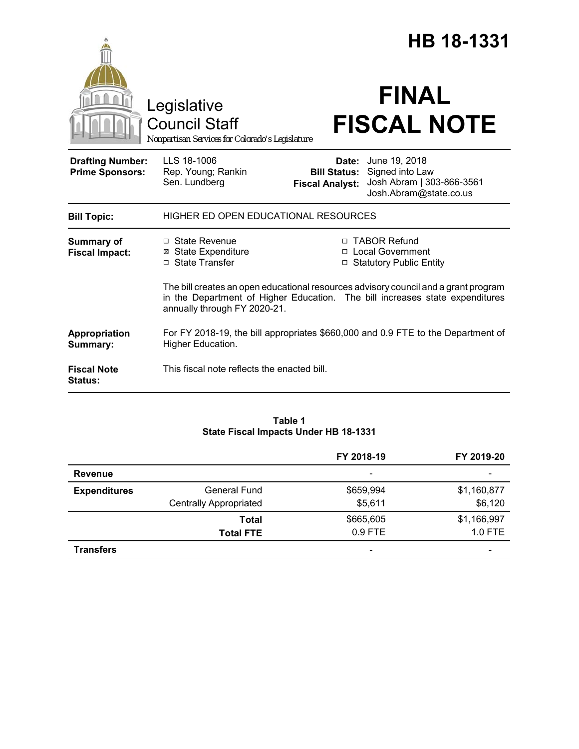|                                                   |                                                                                                                                                                                                     |                                                        | HB 18-1331                                                                              |  |
|---------------------------------------------------|-----------------------------------------------------------------------------------------------------------------------------------------------------------------------------------------------------|--------------------------------------------------------|-----------------------------------------------------------------------------------------|--|
|                                                   | Legislative<br><b>Council Staff</b><br>Nonpartisan Services for Colorado's Legislature                                                                                                              |                                                        | <b>FINAL</b><br><b>FISCAL NOTE</b>                                                      |  |
| <b>Drafting Number:</b><br><b>Prime Sponsors:</b> | LLS 18-1006<br>Rep. Young; Rankin<br>Sen. Lundberg                                                                                                                                                  | Date:<br><b>Bill Status:</b><br><b>Fiscal Analyst:</b> | June 19, 2018<br>Signed into Law<br>Josh Abram   303-866-3561<br>Josh.Abram@state.co.us |  |
| <b>Bill Topic:</b>                                | HIGHER ED OPEN EDUCATIONAL RESOURCES                                                                                                                                                                |                                                        |                                                                                         |  |
| <b>Summary of</b><br><b>Fiscal Impact:</b>        | $\Box$ State Revenue<br><b>⊠</b> State Expenditure<br>$\Box$ State Transfer                                                                                                                         |                                                        | □ TABOR Refund<br>□ Local Government<br>□ Statutory Public Entity                       |  |
|                                                   | The bill creates an open educational resources advisory council and a grant program<br>in the Department of Higher Education. The bill increases state expenditures<br>annually through FY 2020-21. |                                                        |                                                                                         |  |
| Appropriation<br>Summary:                         | For FY 2018-19, the bill appropriates \$660,000 and 0.9 FTE to the Department of<br>Higher Education.                                                                                               |                                                        |                                                                                         |  |
| <b>Fiscal Note</b><br><b>Status:</b>              | This fiscal note reflects the enacted bill.                                                                                                                                                         |                                                        |                                                                                         |  |

#### **Table 1 State Fiscal Impacts Under HB 18-1331**

|                     |                               | FY 2018-19               | FY 2019-20  |
|---------------------|-------------------------------|--------------------------|-------------|
| <b>Revenue</b>      |                               | $\overline{\phantom{a}}$ | -           |
| <b>Expenditures</b> | <b>General Fund</b>           | \$659,994                | \$1,160,877 |
|                     | <b>Centrally Appropriated</b> | \$5,611                  | \$6,120     |
|                     | Total                         | \$665,605                | \$1,166,997 |
|                     | <b>Total FTE</b>              | $0.9$ FTE                | 1.0 FTE     |
| <b>Transfers</b>    |                               | -                        |             |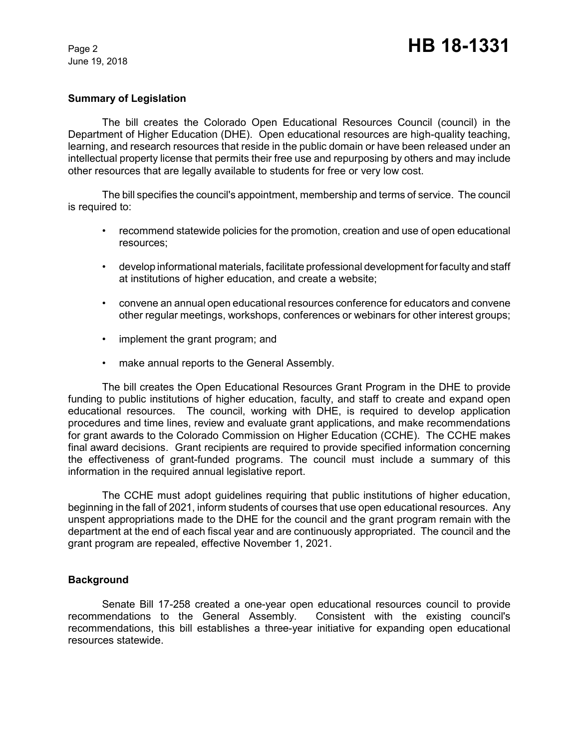June 19, 2018

## **Summary of Legislation**

The bill creates the Colorado Open Educational Resources Council (council) in the Department of Higher Education (DHE). Open educational resources are high-quality teaching, learning, and research resources that reside in the public domain or have been released under an intellectual property license that permits their free use and repurposing by others and may include other resources that are legally available to students for free or very low cost.

The bill specifies the council's appointment, membership and terms of service. The council is required to:

- recommend statewide policies for the promotion, creation and use of open educational resources;
- develop informational materials, facilitate professional development for faculty and staff at institutions of higher education, and create a website;
- convene an annual open educational resources conference for educators and convene other regular meetings, workshops, conferences or webinars for other interest groups;
- implement the grant program; and
- make annual reports to the General Assembly.

The bill creates the Open Educational Resources Grant Program in the DHE to provide funding to public institutions of higher education, faculty, and staff to create and expand open educational resources. The council, working with DHE, is required to develop application procedures and time lines, review and evaluate grant applications, and make recommendations for grant awards to the Colorado Commission on Higher Education (CCHE). The CCHE makes final award decisions. Grant recipients are required to provide specified information concerning the effectiveness of grant-funded programs. The council must include a summary of this information in the required annual legislative report.

The CCHE must adopt guidelines requiring that public institutions of higher education, beginning in the fall of 2021, inform students of courses that use open educational resources. Any unspent appropriations made to the DHE for the council and the grant program remain with the department at the end of each fiscal year and are continuously appropriated. The council and the grant program are repealed, effective November 1, 2021.

#### **Background**

Senate Bill 17-258 created a one-year open educational resources council to provide recommendations to the General Assembly. Consistent with the existing council's recommendations, this bill establishes a three-year initiative for expanding open educational resources statewide.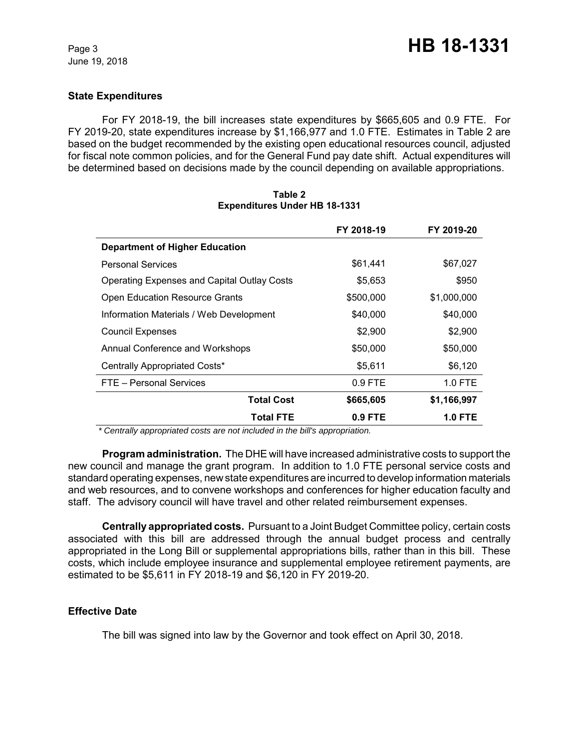June 19, 2018

## **State Expenditures**

For FY 2018-19, the bill increases state expenditures by \$665,605 and 0.9 FTE. For FY 2019-20, state expenditures increase by \$1,166,977 and 1.0 FTE. Estimates in Table 2 are based on the budget recommended by the existing open educational resources council, adjusted for fiscal note common policies, and for the General Fund pay date shift. Actual expenditures will be determined based on decisions made by the council depending on available appropriations.

|                                                    | FY 2018-19 | FY 2019-20     |
|----------------------------------------------------|------------|----------------|
| <b>Department of Higher Education</b>              |            |                |
| <b>Personal Services</b>                           | \$61,441   | \$67,027       |
| <b>Operating Expenses and Capital Outlay Costs</b> | \$5,653    | \$950          |
| <b>Open Education Resource Grants</b>              | \$500,000  | \$1,000,000    |
| Information Materials / Web Development            | \$40,000   | \$40,000       |
| <b>Council Expenses</b>                            | \$2,900    | \$2,900        |
| Annual Conference and Workshops                    | \$50,000   | \$50,000       |
| Centrally Appropriated Costs*                      | \$5,611    | \$6,120        |
| FTE - Personal Services                            | $0.9$ FTE  | 1.0 FTE        |
| <b>Total Cost</b>                                  | \$665,605  | \$1,166,997    |
| <b>Total FTE</b>                                   | $0.9$ FTE  | <b>1.0 FTE</b> |

### **Table 2 Expenditures Under HB 18-1331**

 *\* Centrally appropriated costs are not included in the bill's appropriation.*

**Program administration.** The DHE will have increased administrative costs to support the new council and manage the grant program. In addition to 1.0 FTE personal service costs and standard operating expenses, new state expenditures are incurred to develop information materials and web resources, and to convene workshops and conferences for higher education faculty and staff. The advisory council will have travel and other related reimbursement expenses.

**Centrally appropriated costs.** Pursuant to a Joint Budget Committee policy, certain costs associated with this bill are addressed through the annual budget process and centrally appropriated in the Long Bill or supplemental appropriations bills, rather than in this bill. These costs, which include employee insurance and supplemental employee retirement payments, are estimated to be \$5,611 in FY 2018-19 and \$6,120 in FY 2019-20.

# **Effective Date**

The bill was signed into law by the Governor and took effect on April 30, 2018.